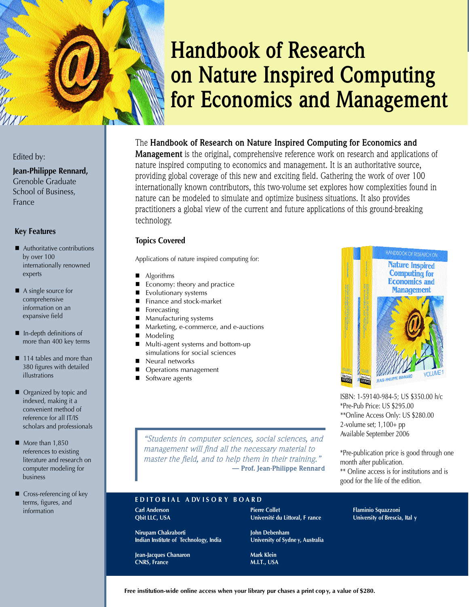# **Handbook of Research on Nature Inspired Computing for Economics and Management**

The **Handbook of Research on Nature Inspired Computing for Economics and Management** is the original, comprehensive reference work on research and applications of nature inspired computing to economics and management. It is an authoritative source, providing global coverage of this new and exciting field. Gathering the work of over 100 internationally known contributors, this two-volume set explores how complexities found in nature can be modeled to simulate and optimize business situations. It also provides practitioners a global view of the current and future applications of this ground-breaking technology.

#### **Topics Covered**

Applications of nature inspired computing for:

- **Algorithms**
- Economy: theory and practice
- Evolutionary systems
- $\blacksquare$  Finance and stock-market
- Forecasting
- $M$  Manufacturing systems
- Marketing, e-commerce, and e-auctions
- Modeling
- n Multi-agent systems and bottom-up simulations for social sciences

*"Students in computer sciences, social sciences, and management will find all the necessary material to master the field, and to help them in their training."* **— Prof. Jean-Philippe Rennard**

#### **E D I T O R I A L A DV I S O R Y B O A R D**

**Carl Anderson Qbit LLC, USA** 

**Nirupam Chakraborti Indian Institute of Technology, India** 

**CNRS, France** 

**Pierre Collet Université du Littoral, F rance** 

**John Debenham University of Sydne y, Australia** 

**M.I.T., USA** 

**Flaminio Squazzoni University of Brescia, Ital y**

ISBN: 1-59140-984-5; US \$350.00 h/c

\*Pre-publication price is good through one month after publication.

\*\* Online access is for institutions and is good for the life of the edition.

\*Pre-Pub Price: US \$295.00 \*\*Online Access Only: US \$280.00 2-volume set; 1,100+ pp Available September 2006

Neural networks Operations management Software agents

> **Jean-Jacques Chanaron Mark Klein**



**Jean-Philippe Rennard,** Grenoble Graduate School of Business, France

#### **Key Features**

- $\blacksquare$  Authoritative contributions by over 100 internationally renowned experts
- $\blacksquare$  A single source for comprehensive information on an expansive field
- In-depth definitions of more than 400 key terms
- $\blacksquare$  114 tables and more than 380 figures with detailed illustrations
- Organized by topic and indexed, making it a convenient method of reference for all IT/IS scholars and professionals
- $\blacksquare$  More than 1,850 references to existing literature and research on computer modeling for business
- $\blacksquare$  Cross-referencing of key terms, figures, and information

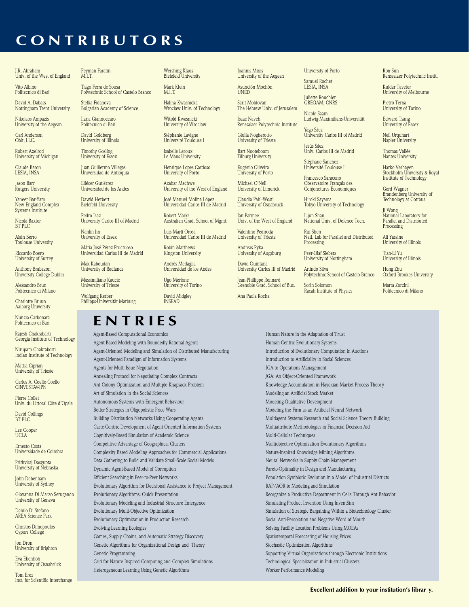### **C O N T R I B U T O R S**

J.R. Abraham Univ. of the West of England

Vito Albino Politecnico di Bari David Al-Dabass

Nottingham Trent University Nikolaos Ampazis

University of the Aegean Carl Anderson

Qbit, LLC.

Robert Axelrod University of Michigan

Claude Baron LESIA, INSA

Jason Barr Rutgers University

Yaneer Bar-Yam New England Complex Systems Institute

Nicola Baxter BT PLC

Alain Berro Toulouse University

Riccardo Boero University of Surrey

Anthony Brabazon University College Dublin

Alessandro Brun Politecnico di Milano

Charlotte Bruun Aalborg University

Nunzia Carbonara Politecnico di Bari

Rajesh Chakrabarti Georgia Institute of Technology

Nirupam Chakraborti Indian Institute of Technology

Mattia Ciprian University of Trieste

Carlos A. Coello-Coello CINVESTAV-IPN

Pierre Collet Univ. du Littoral Côte d'Opale

David Collings BT PLC

Lee Cooper UCLA

Ernesto Costa Universidade de Coimbra

Prithviraj Dasgupta University of Nebraska

John Debenham University of Sydney

Giovanna Di Marzo Serugendo University of Geneva

Danilo Di Stefano AREA Science Park

Christos Dimopoulos Cypurs College

Jon Dron University of Brighton

Eva Ebenhöh University of Osnabrück

Tom Erez Inst. for Scientific Interchange Peyman Faratin M.I.T.

Tiago Ferra de Sousa Polytechnic School of Castelo Branco Stefka Fidanova Bulgarian Academy of Science

Ilaria Giannoccaro Politecnico di Bari

David Goldberg University of Illinois

Timothy Gosling University of Essex

Juan Guillermo Villegas Universidad de Antioquia

Eliécer Gutiérrez Universidad de los Andes Dawid Herbert

Bielefeld University Pedro Isasi

University Carlos III of Madrid Nanlin Jin

University of Essex

Mária José Pérez Fructuoso Universidad Carlos III de Madrid

Mak Kaboudan University of Redlands Massimiliano Kaucic

University of Trieste Wolfgang Kerber Philipps-Universität Marburg

### **E N T R I E S**

Agent-Based Computational Economics Agent-Based Modeling with Boundedly Rational Agents Agent-Oriented Modeling and Simulation of Distributed Manufacturing Agent-Oriented Paradigm of Information Systems Agents for Multi-Issue Negotiation Annealing Protocol for Negotiating Complex Contracts Ant Colony Optimization and Multiple Knapsack Problem Art of Simulation in the Social Sciences Autonomous Systems with Emergent Behaviour Better Strategies in Oligopolistic Price Wars Building Distribution Networks Using Cooperating Agents Caste-Centric Development of Agent Oriented Information Systems Cognitively-Based Simulation of Academic Science Competitive Advantage of Geographical Clusters Complexity Based Modeling Approaches for Commercial Applications Data Gathering to Build and Validate Small-Scale Social Models Dynamic Agent-Based Model of Corruption Efficient Searching in Peer-to-Peer Networks Evolutionary Algorithm for Decisional Assistance to Project Management Evolutionary Algorithms: Quick Presentation Evolutionary Modeling and Industrial Structure Emergence Evolutionary Multi-Objective Optimization Evolutionary Optimization in Production Research Evolving Learning Ecologies Games, Supply Chains, and Automatic Strategy Discovery Genetic Algorithms for Organizational Design and Theory Genetic Programming Grid for Nature Inspired Computing and Complex Simulations Heterogeneous Learning Using Genetic Algorithms

Ioannis Minis University of the Aegean

Asunción Mochón

The Hebrew Univ. of Jerusalem

Isaac Naveh Renssalaer Polytechnic Institute

Giulia Nogherotto University of Trieste

Bart Nooteboom Tilburg University

Eugénio Oliveira University of Porto

Michael O'Neil University of Limerick

Claudia Pahl-Wostl University of Osnabrück

Ian Parmee Univ. of the West of England

Valentino Pediroda University of Trieste

Andreas Pyka University of Augsburg

David Quintana University Carlos III of Madrid

Jean-Phillippe Rennard Grenoble Grad. School of Bus.

Ana Paula Rocha

University of Porto

Samuel Rochet LESIA, INSA

Juliette Rouchier GREQAM, CNRS

Nicole Saam Ludwig-Maximilians-Universität

Yago Sáez University Carlos III of Madrid

Jesús Sáez jesus saez<br>Univ. Carlos III de Madrid

Stéphane Sanchez Université Toulouse I

Francesco Saraceno Observatoire Français des Conjonctures Économiques

Hiroki Sayama Tokyo University of Technology

Lijun Shan National Univ. of Defence Tech.

Rui Shen Natl. Lab for Parallel and Distributed Processing

Peer-Olaf Siebers University of Nottingham

Arlindo Silva Polytechnic School of Castelo Branco

Sorin Solomon Racah Institute of Physics Ron Sun Renssalaer Polytechnic Instit.

Kuldar Taveter University of Melbourne

Pietro Terna University of Torino

Edward Tsang University of Essex

Neil Urquhart Napier University

Thomas Vallée Nantes University

Harko Verhagen Stockholm University & Royal Institute of Technology

Gerd Wagner Brandenberg University of Technology at Cottbus

Ji Wang National Laboratory for Parallel and Distributed Processing

Ali Yassine University of Illinois

Tian-Li Yu University of Illinois

Hong Zhu Oxford Brookes University

Marta Zorzini Politecnico di Milano

Human Nature in the Adaptation of Trust Human-Centric Evolutionary Systems Introduction of Evolutionary Computation in Auctions Introduction to Artificiality in Social Sciences JGA to Operations Management JGA: An Object-Oriented Framework Knowledge Accumulation in Hayekian Market Process Theor y Modeling an Artificial Stock Market Modeling Qualitative Development Modeling the Firm as an Artificial Neural Network Multiagent Systems Research and Social Science Theory Building Multiattribute Methodologies in Financial Decision Aid Multi-Cellular Techniques Multiobjective Optimization Evolutionary Algorithms Nature-Inspired Knowledge Mining Algorithms Neural Networks in Supply Chain Management Pareto-Optimality in Design and Manufacturing Population Symbiotic Evolution in a Model of Industrial Districts RAP/AOR to Modeling and Simulation Reorganize a Productive Department in Cells Through Ant Behavior Simulating Product Invention Using InventSim Simulation of Strategic Bargaining Within a Biotechnology Cluster Social Anti-Percolation and Negative Word of Mouth Solving Facility Location Problems Using MOEAs Spatiotemporal Forecasting of Housing Prices Stochastic Optimization Algorithms Supporting Virtual Organizations through Electronic Institutions Technological Specialization in Industrial Clusters Worker Performance Modeling

#### Wroclaw Univ. of Technology **INFD** Sarit Moldovan

Witold Kwasnicki University of Wroclaw

Stéphanie Lavigne Université Toulouse I

Wershing Klaus Bielefeld University Mark Klein M<sub>IT</sub>

Halina Kwasnicka

Isabelle Leroux Le Mans University

Henrique Lopes Cardoso University of Porto

Azahar Machwe University of the West of England

José Manuel Molina López Universidad Carlos III de Madrid

Robert Marks Australian Grad. School of Mgmt.

Universidad Carlos III de Madrid

Luis Martí Orosa

Robin Matthews Kingston University Andrés Medaglia Universidad de los Andes

Ugo Merlone University of Torino David Midgley INSEAD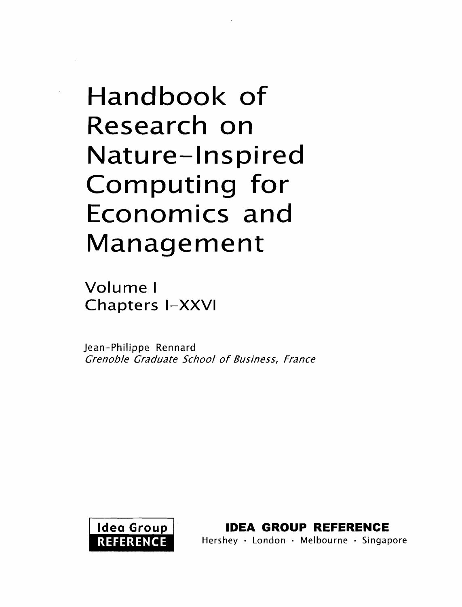# Handbook of Research on Nature-Inspired Computing for Economics and Management

Volume I Chapters I-XXVI

Jean-Philippe Rennard Grenoble Graduate School of Business, France



Hershey  $\cdot$  London  $\cdot$  Melbourne  $\cdot$  Singapore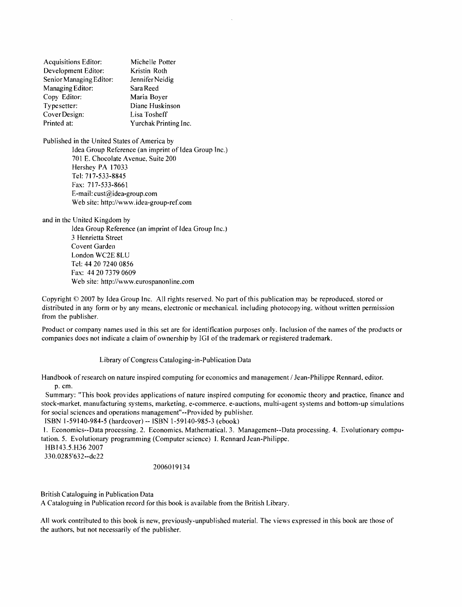| <b>Acquisitions Editor:</b> | Michelle Potter       |
|-----------------------------|-----------------------|
| Development Editor:         | Kristin Roth          |
| Senior Managing Editor:     | Jennifer Neidig       |
| Managing Editor:            | Sara Reed             |
| Copy Editor:                | Maria Bover           |
| Typesetter:                 | Diane Huskinson       |
| Cover Design:               | Lisa Tosheff          |
| Printed at:                 | Yurchak Printing Inc. |

Published in the United States of America by Idea Group Reference (an imprint of ldea Group Inc.) 701 E. Chocolate Avenue. Suite 200 Hershey PA 17033 Tel: 71 7-533-8845 Fay: 717-533-8661  $E$ -mail: cust $@$ idea-group.com Web site: http://www.idea-group-ref.com

and in the United Kingdom by ldea Group Reference (an imprint of ldea Group lnc.) 3 Henrietta Street Covent Garden London WC2E 8LU Tcl: 44 20 7240 0856 Fax: 44 20 7379 0609 Web site: http://www.eurospanonline.com

Copyright *O* 2007 by Idea Group Inc. All rights reserved. No part of this publication may be reproduced, stored or distributed in any form or by any means, electronic or mechanical. including photocopying, without written permission from the publisher.

Product or company names used in this set are for identification purposes only. Inclusion of the names of the products or companies does not indicate a claim of ownership by IGI of the trademark or registered trademark.

Library of Congress Cataloging-in-Publication Data

Handbook of research on nature inspired computing for economics and management / Jean-Philippe Rennard. editor. **p.** cm.

Summary: "This book provides applications of nature inspired computing for economic theory and practice, finance and stock-market. manufacturing systems, marketing. e-commerce. e-auctions, multi-agent systems and bottom-up simulations for social sciences and operations management"--Provided by publisher.

ISBN 1-59140-984-5 (hardcover) -- ISBN 1-59140-985-3 (ebook)

1. Economics--Data processing. 2. Economics, Mathematical. 3. Management--Data processing. 4. Evolutionary computation. 5. Evolutionary programming (Computer science) I. Rennard Jean-Philippe.

HB143.5.H36 2007 330.0285'632--dc22

20060 19 134

British Cataloguing in Publication Data

A Cataloguing in Publication record for this book is available from the British Library.

All work contributed to this book is new, previously-unpublished material. The views expressed in this book are those of the authors, but not necessarily of the publisher.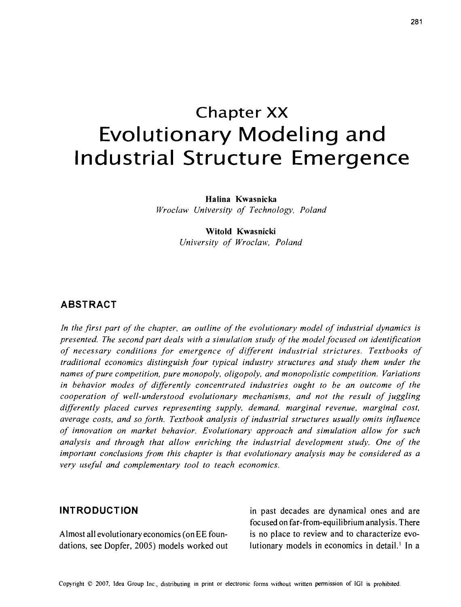## **Chapter XX**  Evolutionary Modeling and Industrial Structure Emergence

**Halina Kwasnicka**  *Wroclaw University of Technology, Poland* 

> **Witold Kwasnicki**  *University of Wroclaw, Poland*

#### **ABSTRACT**

In the first part of the chapter, an outline of the evolutionary model of industrial dynamics is *presented. The second part deals wirh a sinzulution study of'the model focused on identification*  of necessary conditions for emergence of different industrial strictures. Textbooks of *traditional economics distinguish four typical industry structures and study them under the narnes of pure competition, pure monopoly, oligopoly, and monopolistic competition. Variations*  in behavior modes of differently concentrated industries ought to be an outcome of the *cooperation of well-understood evolutionary mechanisms, and not the result of juggling differently placed curves representing supply, demand, marginal revenue, marginal cost, average costs, and so forth. Textbook analysis of industrial structures usually omits influence of innovation on market behavior. Evolurionary approach and simulation allow for such*  analysis and through that allow enriching the industrial development study. One of the *important conclusions from this chapter is that evolutionary analysis may be considered as a very useful and complementary tool to teach economics.* 

**INTRODUCTION in past decades are dynamical ones and are** focused on far-from-equilibrium analysis. There Almost all evolutionary economics (on EE foun- is no place to review and to characterize evodations, see Dopfer, 2005) models worked out lutionary models in economics in detail.' In a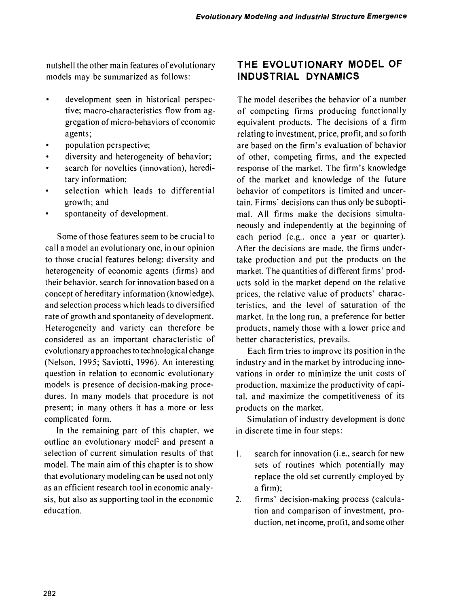nutshell the other main features of evolutionary models may be summarized as follows:

- $\bullet$ development seen in historical perspective; macro-characteristics flow from aggregation of micro-behaviors of economic agents;
- population perspective;
- diversity and heterogeneity of behavior;
- search for novelties (innovation), herediä tary information;
- selection which leads to differential growth; and
- spontaneity of development.

Some of those features seem to be crucial to call a model an evolutionary one, in our opinion to those crucial features belong: diversity and heterogeneity of economic agents (firms) and their behavior, search for innovation based on a concept of hereditary information (knowledge), and selection process which leads to diversified rate of growth and spontaneity of development. Heterogeneity and variety can therefore be considered as an important characteristic of evolutionary approaches to technological change (Nelson, 1995; Saviotti, 1996). An interesting question in relation to economic evolutionary models is presence of decision-making procedures. In many models that procedure is not present; in many others it has a more or less complicated form.

In the remaining part of this chapter, we outline an evolutionary model' and present a selection of current simulation results of that model. The main aim of this chapter is to show that evolutionary modeling can be used not only as an efficient research tool in economic analysis, but also as supporting tool in the economic education.

#### **THE EVOLUTIONARY MODEL OF INDUSTRIAL DYNAMICS**

The model describes the behavior of a number of competing firms producing functionally equivalent products. The decisions of a firm relatingto investment, price, profit, and so forth are based on the firm's evaluation of behavior of other, competing firms, and the expected response of the market. The firm's knowledge of the market and knowledge of the future behavior of competitors is limited and uncertain. Firms' decisions can thus only be suboptimal. All firms make the decisions simultaneously and independently at the beginning of each period (e.g.. once a year or quarter). After the decisions are made, the firms undertake production and put the products on the market. The quantities of different firms' products sold in the market depend on the relative prices, the relative value of products' characteristics, and the level of saturation of the market. In the long run, a preference for better products, namely those with a lower price and better characteristics. prevails.

Each firm tries to improve its position in the industry and in the market by introducing innovations in order to minimize the unit costs of production, maximize the productivity of capital. and maximize the competitiveness of its products on the market.

Simulation of industry development is done in discrete time in four steps:

- I. search for innovation (i.e., search for new sets of routines which potentially may replace the old set currently employed by a firm);
- 2. firms' decision-making process (calculation and comparison of investment, production, net income, profit, and some other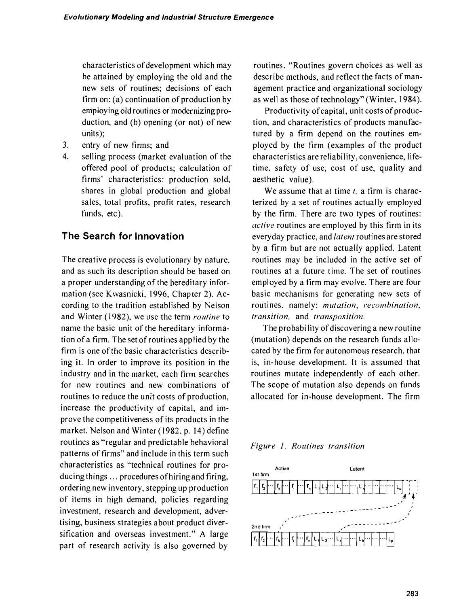characteristics of development which may be attained by employing the old and the new sets of routines; decisions of each firm on: (a) continuation of production by employing old routines or modernizing production, and (b) opening (or not) of new units);

- **3.** entry of new firms; and
- 4. selling process (market evaluation of the offered pool of products; calculation of firms' characteristics: production sold, shares in global production and global sales, total profits, profit rates, research funds, etc).

#### **The Search for Innovation**

The creative process is evolutionary by nature. and as such its description should be based on a proper understanding of the hereditary information (see Kwasnicki, 1996, Chapter 2). According to the tradition established by Nelson and Winter (1982), we use the term *routine* to name the basic unit of the hereditary information of a firm. The set of routines applied by the firm is one of the basic characteristics describing it. In order to improve its position in the industry and in the market, each firm searches for new routines and new combinations of routines to reduce the unit costs of production, increase the productivity of capital, and improve the competitiveness of its products in the market. Nelson and Winter (1982, p. 14) define routines as "regular and predictable behavioral patterns of firms" and include in this term such characteristics as "technical routines for producing things ... procedures of hiring and firing, ordering new inventory, stepping up production of items in high demand, policies regarding investment, research and development, advertising, business strategies about product diversification and overseas investment." A large part of research activity is also governed by

routines. "Routines govern choices as well as describe methods, and reflect the facts of management practice and organizational sociology as well as those of technology" (Winter, 1984).

Productivity ofcapital, unit costs of production. and characteristics of products manufactured by a firm depend on the routines employed by the firm (examples of the product characteristics are reliability, convenience, lifetime. safety of use, cost of use, quality and aesthetic value).

We assume that at time *t,* a firm is characterized by a set of routines actually employed by the firm. There are two types of routines: *active* routines are employed by this firm in its everyday practice, and *latent* routines are stored by a firm but are not actually applied. Latent routines may be included in the active set of routines at a future time. The set of routines employed by a firm may evolve. There are four basic mechanisms for generating new sets of routines, namely: *mutation, recombination*, *transition*, and *transposition*.

The probability of discovering a new routine (mutation) depends on the research funds allocated by the firm for autonomous research. that is, in-house development. It is assumed that routines mutate independently of each other. The scope of mutation also depends on funds allocated for in-house development. The firm

*Figure 1. Routines transition* 

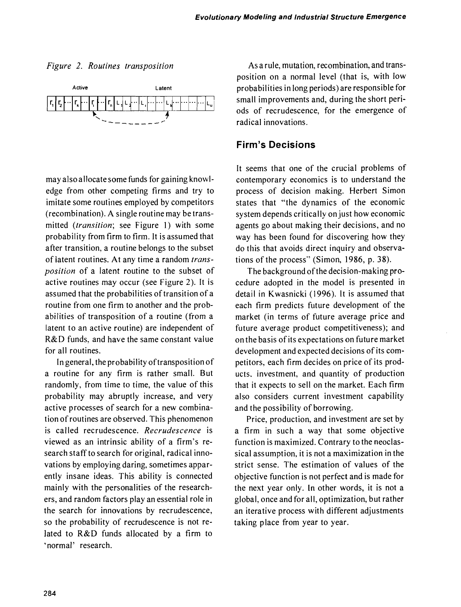



may also allocate some funds for gaining knowledge from other competing firms and try to imitate some routines employed by competitors (recombination). A single routine may be transmitted (transition; see Figure 1) with some probability from firm to firm. It is assumed that after transition, a routine belongs to the subset of latent routines. At any time a random transposition of a latent routine to the subset of active routines may occur (see Figure 2). It is assumed that the probabilities of transition of a routine from one firm to another and the probabilities of transposition of a routine (from a latent to an active routine) are independent of R&D funds, and have the same constant value for all routines.

In general, the probability of transposition of a routine for any firm is rather smaII. But randomly, from time to time, the value of this probability may abruptly increase, and very active processes of search for a new combination of routines are observed. This phenomenon is called recrudescence. Recrudescence is viewed as an intrinsic ability of a firm's research staff to search for original, radical innovations by employing daring. sometimes apparently insane ideas. This ability is connected mainly with the personalities of the researchers, and random factors play an essential role in the search for innovations by recrudescence, so the probability of recrudescence is not related to R&D funds allocated by a firm to 'normal' research.

As a rule, mutation, recombination, and transposition on a normal level (that is, with low probabilities in long periods) are responsible for small improvements and, during the short periods of recrudescence, for the emergence of radical innovations.

#### **Firm's Decisions**

It seems that one of the crucial problems of contemporary economics is to understand the process of decision making. Herbert Simon states that "the dynamics of the economic system depends critically on just how economic agents go about making their decisions, and no way has been found for discovering how they do this that avoids direct inquiry and observations of the process'' (Simon, 1986, p. 38).

The background of the decision-making procedure adopted in the model is presented in detail in Kwasnicki (1996). It is assumed that each firm predicts future development of the market (in terms of future average price and future average product competitiveness); and on the basis of its expectations on future market development and expected decisions of its competitors, each firm decides on price of its products. investment, and quantity of production that it expects to sell on the market. Each firm also considers current investment capability and the possibility of borrowing.

Price, production, and investment are set by a firm in such a way that some objective function is maximized. Contrary to the neoclassical assumption, it is not a maximization in the strict sense. The estimation of values of the objective function is not perfect and is made for the next year only. In other words, it is not a global, once and for all, optimization, but rather an iterative process with different adjustments taking place from year to year.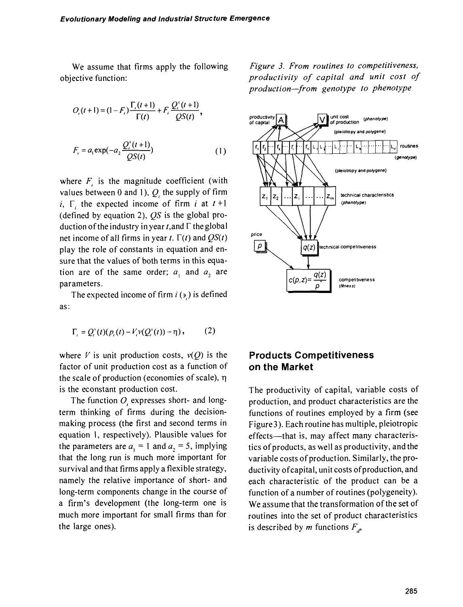We assume that firms apply the following objective function:

$$
O_{i}(t+1) = (1 - F_{i}) \frac{\Gamma_{i}(t+1)}{\Gamma(t)} + F_{i} \frac{Q_{i}^{s}(t+1)}{QS(t)},
$$
  

$$
F_{i} = a_{i} \exp(-a_{2} \frac{Q_{i}^{s}(t+1)}{QS(t)})
$$
 (1)

where  $F_i$  is the magnitude coefficient (with values between 0 and 1),  $Q_i$  the supply of firm i,  $\Gamma_i$  the expected income of firm i at  $t+1$ (defined by equation 2),  $\overline{OS}$  is the global production of the industry in year *t*, and  $\Gamma$  the global net income of all firms in year t.  $\Gamma(t)$  and  $QS(t)$ play the role of constants in equation and ensure that the values of both terms in this equation are of the same order;  $a_1$  and  $a_2$  are parameters.

The expected income of firm  $i(\frac{1}{2})$  is defined as :

$$
\Gamma_{i} = Q_{i}^{s}(t)(p_{i}(t) - V_{i}\nu(Q_{i}^{s}(t)) - \eta), \qquad (2)
$$

where V is unit production costs,  $v(O)$  is the factor of unit production cost as a function of the scale of production (economies of scale), **q**  is the econstant production cost.

The function  $O<sub>i</sub>$  expresses short- and longterm thinking of firms during the decisionmaking process (the first and second terms in equation 1, respectively). Plausible values for the parameters are  $a_1 = 1$  and  $a_2 = 5$ , implying that the long run is much more important for survival and that firms apply a flexible strategy, namely the relative importance of short- and long-term components change in the course of a firm's development (the long-term one is much more important for small firms than for the large ones).



(finess)

#### Figure **3.** From routines to competitiveness, productivity of capital and unit cost of production-from genotype to phenotype

#### **Products Competitiveness on the Market**

The productivity of capital, variable costs of production, and product characteristics are the functions of routines employed by a firm (see Figure3). Each routine has multiple, pleiotropic effects—that is, may affect many characteristics ofproducts, as well as productivity, and the variable costs of production. Similarly, the productivity ofcapital, unit costs ofproduction, and each characteristic of the product can be a function of a number of routines (polygeneity). We assume that the transformation of the set of routines into the set of product characteristics is described by *m* functions  $F_{a}$ ,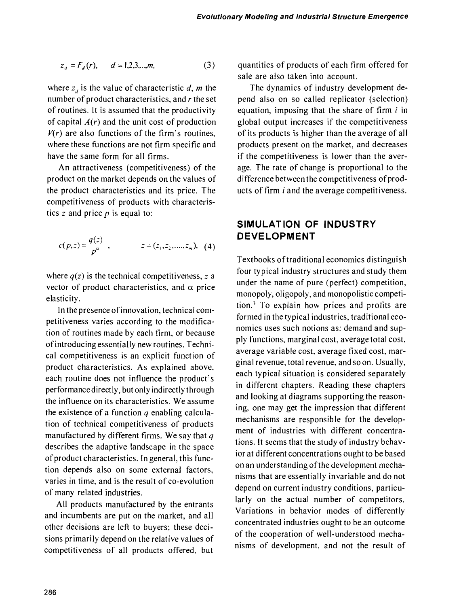$$
z_d = F_d(r), \qquad d = 1, 2, 3, ..., m,
$$
 (3)

where  $z_j$ , is the value of characteristic  $d$ , m the number of product characteristics, and  $r$  the set of routines. It is assumed that the productivity of capital  $A(r)$  and the unit cost of production  $V(r)$  are also functions of the firm's routines, where these functions are not firm specific and have the same form for all firms.

An attractiveness (competitiveness) of the product on the market depends on the values of the product characteristics and its price. The competitiveness of products with characteristics  $z$  and price  $p$  is equal to:

$$
c(p,z) = \frac{q(z)}{p^{\alpha}} , \qquad z = (z_1, z_2, \dots, z_m), \quad (4)
$$

where  $q(z)$  is the technical competitiveness,  $z$  a vector of product characteristics, and  $\alpha$  price elasticity.

In the presence of innovation, technical competitiveness varies according to the modification of routines made by each tirm, or because of introducingessentially new routines. Technical competitiveness is an explicit function of product characteristics. As explained above, each routine does not influence the product's performancedirectly, but only indirectly through the influence on its characteristics. We assume the existence of a function  $q$  enabling calculation of technical competitiveness of products manufactured by different firms. We say that  $q$ describes the adaptive landscape in the space of product characteristics. In general, this function depends also on some external factors, varies in time, and is the result of co-evolution of many related industries.

All products manufactured by the entrants and incumbents are put on the market, and all other decisions are left to buyers; these decisions primarily depend on the relative values of competitiveness of all products offered, but quantities of products of each firm offered for sale are also taken into account.

The dynamics of industry development depend also on so called replicator (selection) equation, imposing that the share of firm  $i$  in global output increases if the competitiveness of its products is higher than the average of all products present on the market, and decreases if the competitiveness is lower than the average. The rate of change is proportional to the difference between the competitiveness of products of firm i and the average competitiveness.

#### **SIMULATION OF INDUSTRY DEVELOPMENT**

Textbooks of traditional economics distinguish four typical industry structures and study them under the name of pure (perfect) competition, monopoly, oligopoly, and monopolistic competition.' To explain how prices and profits are formed in the typical industries, traditional economics uses such notions as: demand and supply functions, marginal cost, average total cost, average variable cost. average fixed cost, marginal revenue, total revenue, and so on. Usually, each typical situation is considered separately in different chapters. Reading these chapters and looking at diagrams supporting the reasoning, one may get the impression that different mechanisms are responsible for the development of industries with different concentrations. It seems that the study of industry behavior at different concentrations ought to be based on an understanding of the development mechanisms that are essentially invariable and do not depend on current industry conditions, particularly on the actual number of competitors. Variations in behavior modes of differently concentrated industries ought to be an outcome of the cooperation of well-understood mechanisms of development, and not the result of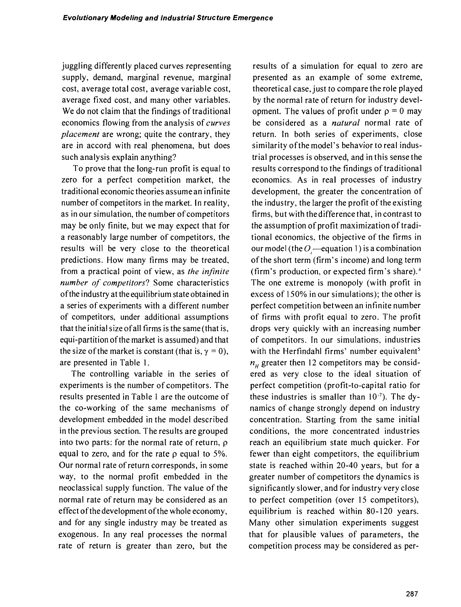juggling differently placed curves representing supply, demand, marginal revenue, marginal cost, average total cost, average variable cost, average fixed cost, and many other variables. We do not claim that the findings of traditional economics flowing from the analysis of curves placement are wrong; quite the contrary, they are in accord with real phenomena, but does such analysis explain anything?

To prove that the long-run profit is equal to zero for a perfect competition market, the traditional economic theories assumean infinite number of competitors in the market. In reality, as in our simulation, the number of competitors may be only finite, but we may expect that for a reasonably large number of competitors, the results will be very close to the theoretical predictions. How many firms may be treated, from a practical point of view, as the infinite number of competitors? Some characteristics ofthe industry at theequilibrium stateobtained in a series of experiments with a different number of competitors, under additional assumptions that the initial size ofall firms is the same(that is, equi-partition of the market is assumed) and that the size of the market is constant (that is,  $\gamma = 0$ ), are presented in Table 1.

The controlling variable in the series of experiments is the number of competitors. The results presented in Table 1 are the outcome of the co-working of the same mechanisms of development embedded in the model described in the previous section. The results are grouped into two parts: for the normal rate of return,  $\rho$ equal to zero, and for the rate  $\rho$  equal to 5%. Our normal rate of return corresponds, in some way, to the normal profit embedded in the neoclassical supply function. The value of the normal rate of return may be considered as an effect of the development of the whole economy, and for any single industry may be treated as exogenous. In any real processes the normal rate of return is greater than zero, but the

results of a simulation for equal to zero are presented as an example of some extreme, theoretical case, just to compare the role played by the normal rate of return for industry development. The values of profit under  $\rho = 0$  may be considered as a *natural* normal rate of return. In both series of experiments, close similarity ofthe model's behavior to real industrial processes is observed, and in this sense the results correspond to the findings of traditional economics. As in real processes of industry development, the greater the concentration of the industry, the larger the profit of the existing firms, but with thedifference that, in contrast to the assumption of profit maximization of traditional economics, the objective of the firms in our model (the  $O$  -equation 1) is a combination of the short term (firm's income) and long term (firm's production. or expected firm's share).' The one extreme is monopoly (with profit in excess of 150% in our simulations); the other is perfect competition between an infinite number of firms with profit equal to zero. The profit drops very quickly with an increasing number of competitors. In our simulations, industries with the Herfindahl firms' number equivalent<sup>5</sup>  $n_{\rm H}$  greater then 12 competitors may be considered as very close to the ideal situation of perfect competition (profit-to-capital ratio for these industries is smaller than  $10^{-7}$ ). The dynamics of change strongly depend on industry concentration. Starting from the same initial conditions, the more concentrated industries reach an equilibrium state much quicker. For fewer than eight competitors, the equilibrium state is reached within 20-40 years, but for a greater number of competitors the dynamics is significantly slower, and for industry very close to perfect competition (over 15 competitors), equilibrium is reached within 80-120 years. Many other simulation experiments suggest that for plausible values of parameters, the competition process may be considered as per-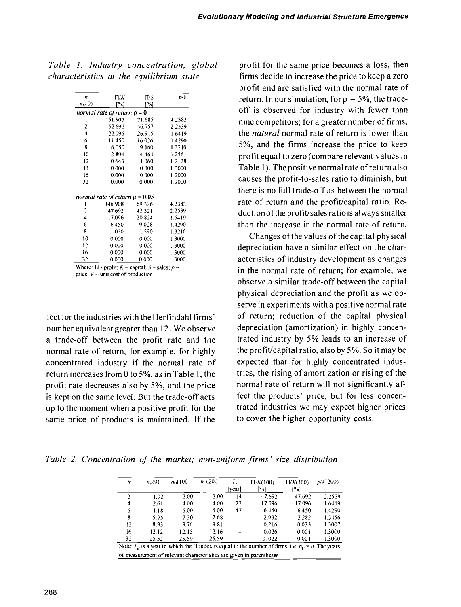|  |  | Table 1. Industry concentration, global  |  |
|--|--|------------------------------------------|--|
|  |  | characteristics at the equilibrium state |  |

| n                                   | П/К        | $\Pi$ / $S$ | $P^{\prime}$ |  |  |  |  |
|-------------------------------------|------------|-------------|--------------|--|--|--|--|
| $n_l(0)$                            | $[^{0,0}]$ | [%]         |              |  |  |  |  |
| normal rate of return $\rho = 0$    |            |             |              |  |  |  |  |
| 1                                   | 151.907    | 71.685      | 4.2382       |  |  |  |  |
| 2                                   | 52.692     | 46.757      | 2.2539       |  |  |  |  |
| 4                                   | 22.096     | 26.915      | 1.6419       |  |  |  |  |
| 6                                   | 11.450     | 16.026      | 1.4290       |  |  |  |  |
| g                                   | 6.050      | 9.160       | 1.3210       |  |  |  |  |
| 10                                  | 2.804      | 4.464       | 1.2561       |  |  |  |  |
| 12                                  | 0.643      | 1.060       | 1.2128       |  |  |  |  |
| 13                                  | 0.000      | 0.000       | 1.2000       |  |  |  |  |
| 16                                  | 0.000      | 0.000       | 1.2000       |  |  |  |  |
| 32                                  | 0.000      | 0.000       | 1.2000       |  |  |  |  |
|                                     |            |             |              |  |  |  |  |
| normal rate of return $\rho = 0.05$ |            |             |              |  |  |  |  |
|                                     | 146.908    | 69.326      | 4.2382       |  |  |  |  |
| $\overline{z}$                      | 47.692     | 42.321      | 2.2539       |  |  |  |  |
| $\overline{\mathbf{4}}$             | 17.096     | 20.824      | 1.6419       |  |  |  |  |
| 6                                   | 6.450      | 9.028       | 1.4290       |  |  |  |  |
| 8                                   | 1.050      | 1.590       | 1.3210       |  |  |  |  |
| 10                                  | 0.000      | 0 000       | 1.3000       |  |  |  |  |
| 12                                  | 0.000      | 0.000       | 1.3000       |  |  |  |  |
| 16                                  | 0.000      | 0 000       | 1.3000       |  |  |  |  |
| 32                                  | 0.000      | 0.000       | 1.3000       |  |  |  |  |
|                                     |            |             |              |  |  |  |  |

**Where:**  $\Pi$  - **profit:**  $K$  – **capital:**  $S$  – **sales:**  $p$  –  $\text{price: } V - \text{unit cost of production}$ 

fect for the industries with the Herfindahl firms' number equivalent greater than 12. We observe a trade-off between the profit rate and the normal rate of return, for example, for highly concentrated industry if the normal rate of return increases from 0 to 5%. as in Table 1, the profit rate decreases also by 5%. and the price is kept on the same level. But the trade-off acts up to the moment when a positive profit for the same price of products is maintained. If the

profit for the same price becomes a loss, then firms decide to increase the price to keep a zero profit and are satisfied with the normal rate of return. In our simulation, for  $\rho = 5\%$ , the tradeoff is observed for industry with fewer than nine competitors; for a greater number of firms, the *nufural* normal rate of return is lower than 5%, and the firms increase the price to keep profit equal to zero (compare relevant values in Table I). The positive normal rate of returnalso causes the profit-to-sales ratio to diminish, but there is no full trade-off as between the normal rate of return and the profit/capital ratio. Reduction of the profit/sales ratio is always smaller than the increase in the normal rate of return.

Changes ofthe values of thecapital physical depreciation have a similar effect on the characteristics of industry development as changes in the normal rate of return; for example, we observe a similar trade-off between the capital physical depreciation and the profit as ue observe in experiments witha positive normal rate of return; reduction of the capital physical depreciation (amortization) in highly concentrated industry by 5% leads to an increase of the profit/capital ratio, also by 5%. So it may be expected that for highly concentrated industries, the rising of amortization or rising of the normal rate of return will not significantly affect the products' price, but for less concentrated industries we may expect higher prices to cover the higher opportunity costs.

*Tuble 2. Concentration of the market; non-uniform firms' size distribution* 

| n  | $n_{\rm H}(0)$ | $n_{\rm H}$ (100) | $n_{\rm H}$ (200) | [year] | $\Gamma/\lambda$ (100)<br>[°∘] | $\Gamma$ $\ell$ K(100)<br>$ {}^{\circ}$ o $ $ | p/V(200) |
|----|----------------|-------------------|-------------------|--------|--------------------------------|-----------------------------------------------|----------|
| 2  | 1.02           | 2.00              | 2.00              | 14     | 47.692                         | 47.692                                        | 2.2539   |
| 4  | 2.61           | 4.00              | 4.00              | 22     | 17.096                         | 17.096                                        | 1.6419   |
| 6  | 4.18           | 6.00              | 6.00              | 47     | 6.450                          | 6.450                                         | 1.4290   |
| 8  | 5.75           | 7.30              | 7.68              |        | 2.932                          | 2.282                                         | 1.3456   |
| 12 | 8.93           | 9.76              | 9.81              | ۰      | 0.216                          | 0.033                                         | 1.3007   |
| 16 | 12.12          | 12.15             | 12.16             |        | 0.026                          | 0.001                                         | 1.3000   |
| 32 | 25.52          | 25.59             | 25.59             |        | 0.022                          | 0.001                                         | 1.3000   |

**of measurement of relevant characteristics are given in parentheses.**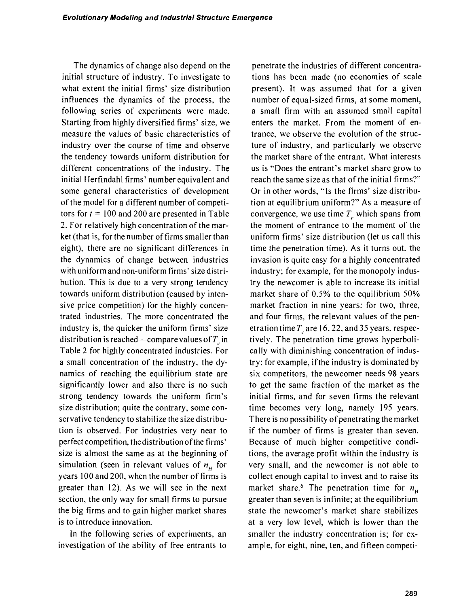The dynamics of change also depend on the initial structure of industry. To investigate to what extent the initial firms' size distribution influences the dynamics of the process, the following series of experiments were made. Starting from highly diversified firms' size. we measure the values of basic characteristics of industry over the course of time and observe the tendency towards uniform distribution for different concentrations of the industry. The initial Herfindahl firms' number equivalent and some general characteristics of development of the model for a different number of competitors for  $t = 100$  and 200 are presented in Table 2. For relatively high concentration of the market (that is. for the number of firms smaller than eight). there are no significant differences in the dynamics of change between industries with uniform and non-uniform firms' size distribution. This is due to a very strong tendency towards uniform distribution (caused by intensive price competition) for the highly concentrated industries. The more concentrated the industry is, the quicker the uniform firms' size distribution is reached—compare values of  $T_{\mu}$  in Table 2 for highly concentrated industries. For a small concentration of the industry. the dynamics of reaching the equilibrium state are significantly lower and also there is no such strong tendency towards the uniform firm's size distribution; quite the contrary, some conservative tendency to stabilize the size distribution is observed. For industries very near to perfect competition, thedistributionofthe firms' size is almost the same as at the beginning of simulation (seen in relevant values of  $n_{\mu}$  for years 100 and 200, when the number of firms is greater than 12). As we will see in the next section, the only way for small firms to pursue the big firms and to gain higher market shares is to introduce innovation.

In the following series of experiments, an investigation of the ability of free entrants to

penetrate the industries of different concentrations has been made (no economies of scale present). It was assumed that for a given number of equal-sized firms, at some moment, a small firm with an assumed small capital enters the market. From the moment of entrance, we observe the evolution of the structure of industry, and particularly we observe the market share of the entrant. What interests us is "Does the entrant's market share grow to reach the same size as that of the initial firms?" Or in other words, "Is the firms' size distribution at equilibrium uniform?" As a measure of convergence, we use time  $T<sub>c</sub>$  which spans from the moment of entrance to the moment of the uniform firms' size distribution (let us call this time the penetration time). As it turns out. the invasion is quite easy for a highly concentrated industry; for example, for the monopoly industry the newcomer is able to increase its initial market share of 0.5% to the equilibrium 50% market fraction in nine years: for two, three, and four tirms. the relevant values of the penetration time  $T<sub>e</sub>$  are 16, 22, and 35 years. respectively. The penetration time grows hyperbolically with diminishing concentration of industry; for example, ifthe industry is dominated by six competitors. the newcomer needs 98 years to get the same fraction of the market as the initial firms, and for seven firms the relevant time becomes very long, namely 195 years. There is no possibility of penetrating the market if the number of firms is greater than seven. Because of much higher competitive conditions, the average profit within the industry is very small, and the newcomer is not able to collect enough capital to invest and to raise its market share.<sup>6</sup> The penetration time for  $n_{\rm H}$ greater than seven is infinite; at the equilibrium state the newcomer's market share stabilizes at a very low level, which is lower than the smaller the industry concentration is; for example, for eight, nine, ten, and fifteen competi-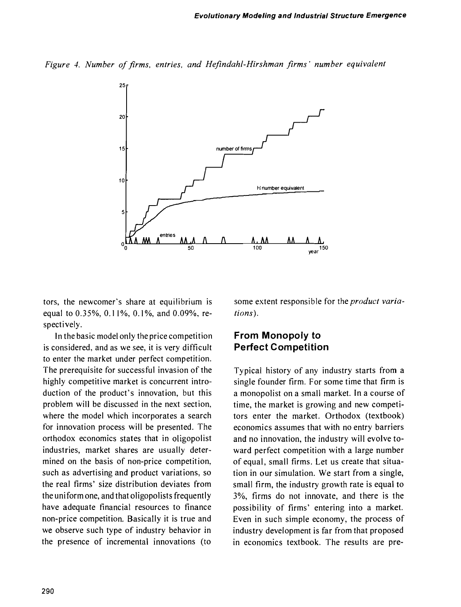



tors, the newcomer's share at equilibrium is equal to 0.35%, 0.1 I%, 0. I%, and 0.09%, respectively.

In the basic model only the price competition is considered, and as we see, it is very difficult to enter the market under perfect competition. The prerequisite for successful invasion of the highly competitive market is concurrent introduction of the product's innovation, but this problem will be discussed in the next section, where the model which incorporates a search for innovation process will be presented. The orthodox economics states that in oligopolist industries, market shares are usually determined on the basis of non-price competition, such as advertising and product variations, so the real firms' size distribution deviates from the uniform one, and that oligopolists frequently have adequate financial resources to finance non-price competition. Basically it is true and we observe such type of industry behavior in the presence of incremental innovations (to

some estent responsible for the *product variations).* 

#### **From Monopoly to Perfect Competition**

Typical history of any industry starts from a single founder firm. For some time that firm is a monopolist on a small market. In a course of time, the market is growing and new competitors enter the market. Orthodox (textbook) economics assumes that with no entry barriers and no innovation, the industry will evolve toward perfect competition with a large number of equal, small firms. Let us create that situation in our simulation. We start from a single, small firm, the industry growth rate is equal to 3%, firms do not innovate, and there is the possibility of firms' entering into a market. Even in such simple economy, the process of industry development is far from that proposed in economics textbook. The results are pre-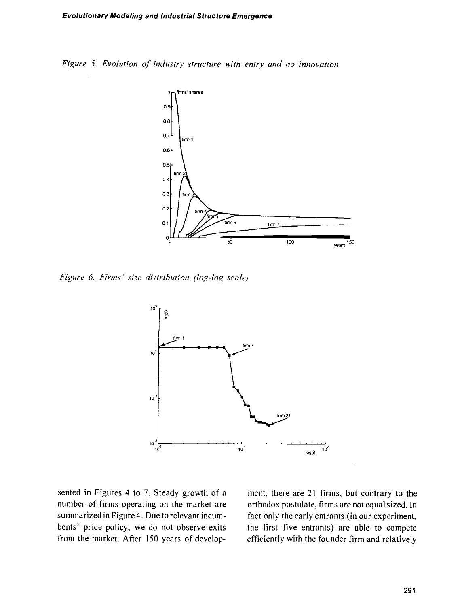*Figure 5. Evolution of industry structure with entry and no innovation* 



*Figure 6. Firms' size distribution (log-log scale)* 



sented in Figures 4 to 7. Steady growth of a ment, there are 21 firms, but contrary to the

number of firms operating on the market are orthodox postulate, firms are not equal sized. In summarized in Figure 4. Due to relevant incum- fact only the early entrants (in our experiment, bents' price policy, we do not observe exits the first five entrants) are able to compete from the market. After 150 years of develop-<br>efficiently with the founder firm and relatively efficiently with the founder firm and relatively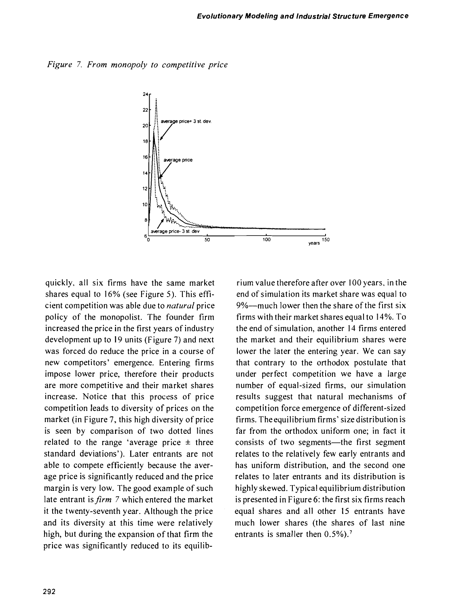Figure 7. From monopoly to competitive price



quickly. all six firms have the same market shares equal to 16% (see Figure 5). This efficient competition was able due to natural price policy of the monopolist. The founder firm increased the price in the first years of industry development up to 19 units (Figure 7) and next was forced do reduce the price in a course of new competitors' emergence. Entering firms impose lower price, therefore their products are more competitive and their market shares increase. Notice that this process of price competition leads to diversity of prices on the market (in Figure 7, this high diversity of price is seen by comparison of two dotted lines related to the range 'average price  $\pm$  three standard deviations'). Later entrants are not able to compete efficiently because the average price is significantly reduced and the price margin is very low. The good example of such late entrant is  $firm 7$  which entered the market it the twenty-seventh year. Although the price and its diversity at this time were relatively high, but during the expansion of that firm the price was significantly reduced to its equilib-

rium value therefore after over 100 years. in the end of simulation its market share was equal to 9%--much lower then the share of the first six firms with their market shares equal to 14%. To the end of simulation, another 14 firms entered the market and their equilibrium shares were lower the later the entering year. We can say that contrary to the orthodox postulate that under perfect competition we have a large number of equal-sized firms, our simulation results suggest that natural mechanisms of competition force emergence of different-sized firms. Theequilibrium firms' size distribution is far from the orthodox uniform one; in fact it consists of two segments—the first segment relates to the relatively few early entrants and has uniform distribution, and the second one relates to later entrants and its distribution is highly skewed. Typical equilibrium distribution is presented in Figure 6: the first six firms reach equal shares and all other 15 entrants have much lower shares (the shares of last nine entrants is smaller then 0.5%).<sup>7</sup>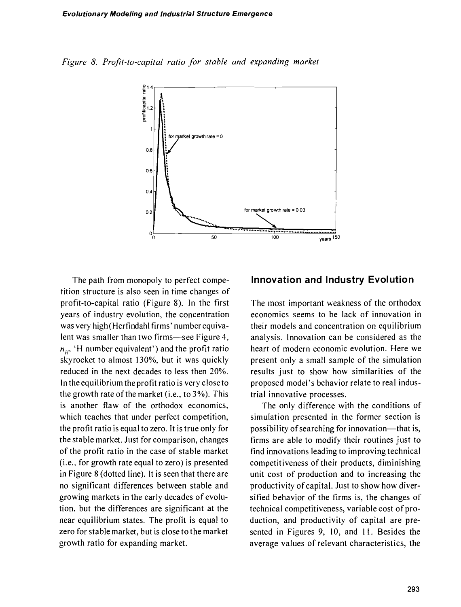

*Figure 8. Profit-to-capital ratio for stable and expanding market* 

The path from monopoly to perfect competition structure is also seen in time changes of profit-to-capital ratio (Figure 8). In the first years of industry evolution, the concentration was very high (Herfindahl firms' number equivalent was smaller than two firms-see Figure 4,  $n_{\text{tr}}$ .  $\dot{H}$  number equivalent') and the profit ratio skyrocket to almost 130%, but it was quickly reduced in the next decades to less then 20%. In the equilibrium the profit ratio is very close to the growth rate of the market (i.e., to 3%). This is another flaw of the orthodox economics, which teaches that under perfect competition, the profit ratio is equal to zero. It is true only for the stable market. Just for comparison, changes of the profit ratio in the case of stable market (i.e., for growth rate equal to zero) is presented in Figure 8 (dotted line). It is seen that there are no significant differences between stable and growing markets in the early decades of evolution, but the differences are significant at the near equilibrium states. The profit is equal to zero for stable market, but is close to the market growth ratio for expanding market.

#### **lnnovation and Industry Evolution**

The most important weakness of the orthodox economics seems to be lack of innovation in their models and concentration on equilibrium analysis. lnnovation can be considered as the heart of modern economic evolution. Here we present only a small sample of the simulation results just to show how similarities of the proposed model's behavior relate to real industrial innovative processes.

The only difference with the conditions of simulation presented in the former section is possibility of searching for innovation—that is, firms are able to modify their routines just to find innovations leading to improving technical competitiveness of their products, diminishing unit cost of production and to increasing the productivity of capital. Just to show how diversified behavior of the firms is, the changes of technical competitiveness, variable cost of production, and productivity of capital are presented in Figures 9, 10, and 11. Besides the average values of relevant characteristics, the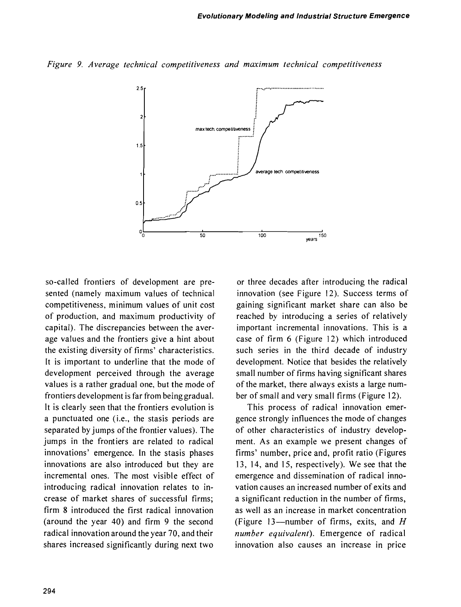



so-called frontiers of development are presented (namely maximum values of technical competitiveness, minimum values of unit cost of production, and maximum productivity of capital). The discrepancies between the average values and the frontiers give a hint about the existing diversity of firms' characteristics. It is important to underline that the mode of development perceived through the average values is a rather gradual one, but the mode of frontiers development is far from being gradual. It is clearly seen that the frontiers evolution is a punctuated one (i.e., the stasis periods are separated by jumps of the frontier values). The jumps in the frontiers are related to radical innovations' emergence. In the stasis phases innovations are also introduced but they are incremental ones. The most visible effect of introducing radical innovation relates to increase of market shares of successful firms; firm 8 introduced the first radical innovation (around the year *40)* and firm *9* the second radical innovation around the year *70,* and their shares increased significantly during next two

or three decades after introducing the radical innovation (see Figure 12). Success terms of gaining significant market share can also be reached by introducing a series of relatively important incremental innovations. This is a case of firm 6 (Figure 12) which introduced such series in the third decade of industry development. Notice that besides the relatively small number of firms having significant shares of the market, there always exists a large number of small and very small firms (Figure 12).

This process of radical innovation emergence strongly influences the mode of changes of other characteristics of industry development. As an example we present changes of firms' number, price and, profit ratio (Figures 13, 14, and 15, respectively). We see that the emergence and dissemination of radical innovation causes an increased number of exits and a significant reduction in the number of firms, as well as an increase in market concentration (Figure 13—number of firms, exits, and  $H$ *number equivalent).* Emergence of radical innovation also causes an increase in price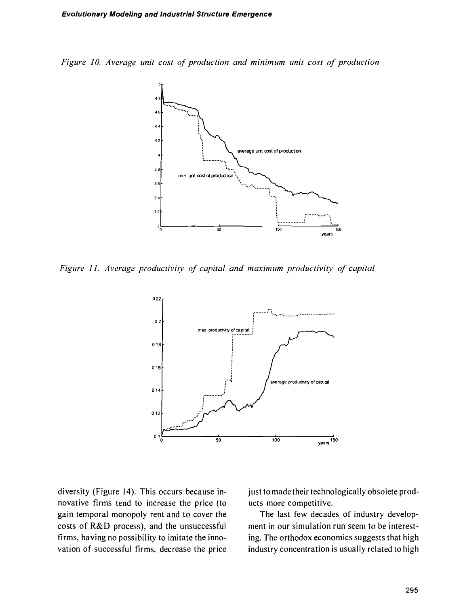*Figure 10. Average unit cost of produc~ion and minimum unit cost of production* 



Figure 11. Average productivity of capital and maximum productivity of capital



novative firms tend to increase the price (to ucts more competitive. gain temporal monopoly rent and to cover the The last few decades of industry develop-

diversity (Figure 14). This occurs because in- just to made their technologically obsolete prod-

costs of R&D process), and the unsuccessful ment in our simulation run seem to be interestfirms, having no possibility to imitate the inno- ing. The orthodox economics suggests that high vation of successful firms, decrease the price industry concentration is usually related to high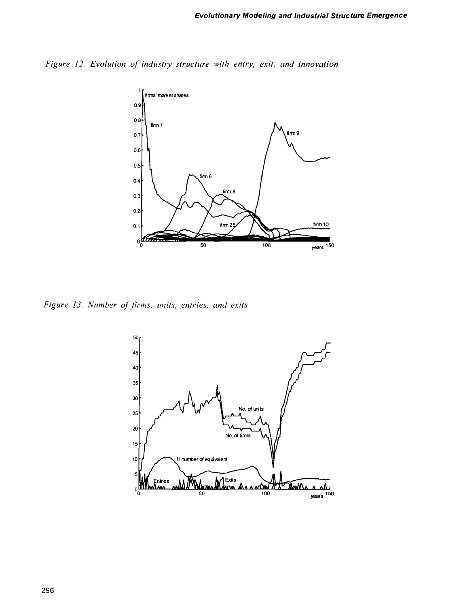*Figure 12. Evolution of industry structure with entry, exit, and innovation* 



Figure 13. Number of firms, units, entries. and exits

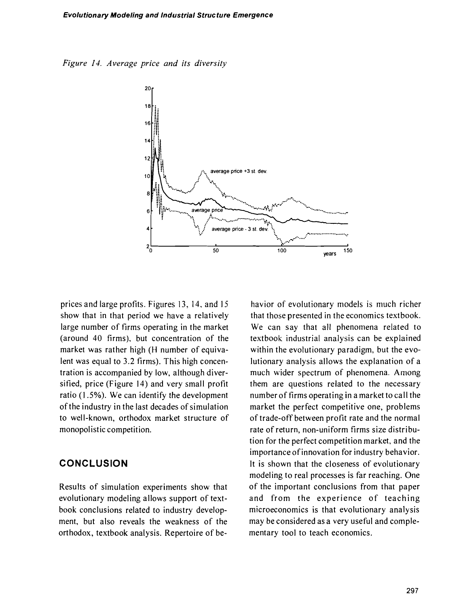*Figure* 14. *Average price and its diversity* 



prices and large profits. Figures 13, 14, and I5 show that in that period we have a relatively large number of firms operating in the market (around 40 firms), but concentration of the market was rather high (H number of equivalent was equal to 3.2 firms). This high concentration is accompanied by low, although diversified, price (Figure 14) and very small profit ratio (I **.5%).** We can identify the development of the industry in the last decades of simulation to well-known, orthodox market structure of monopolistic competition.

#### **CONCLUSION**

Results of simulation experiments show that evolutionary modeling allows support of textbook conclusions related to industry development, but also reveals the weakness of the orthodox, textbook analysis. Repertoire of be-

havior of evolutionary models is much richer that those presented in the economics textbook. We can say that all phenomena related to textbook industrial analysis can be explained within the evolutionary paradigm, but the evolutionary analysis allows the explanation of a much wider spectrum of phenomena. Among them are questions related to the necessary number of firms operating in a market to call the market the perfect competitive one, problems of trade-off between profit rate and the normal rate of return, non-uniform firms size distribution for the perfect competition market, and the importance of innovation for industry behavior. It is shown that the closeness of evolutionary modeling to real processes is far reaching. One of the important conclusions from that paper and from the experience of teaching microeconomics is that evolutionary analysis may be considered as a very useful and complementary tool to teach economics.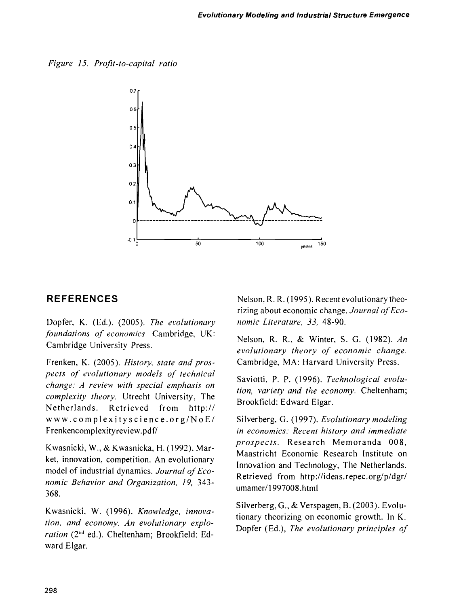*Figure* **15.** *Profit-to-capital ratio* 



#### **REFERENCES**

Dopfer. K. (Ed.). (2005). *The evolutionary ,foundations of economics.* Cambridge, UK: Cambridge University Press.

Frenken, K. (2005). *History, state and prospects oj' evolutionary models of technical change: A review with special emphasis on complexity theory.* Utrecht University, The Netherlands. Retrieved from http:// www.complexityscience.org/NoE/ Frenkencomplexityreview.pdf/

Kwasnicki, W., & Kwasnicka, H. (1992). Market, innovation, competition. An evolutionary model of industrial dynamics. *Journal of Economic Behavior and Organization, 19,* 343- 368.

*tion, and economy. An evolutionary explo-* Dopfer (Ed.), *The evolutionary principles of ration* (2<sup>nd</sup> ed.). Cheltenham: Brookfield: Edward Elgar.

Nelson, R. R. (1995). Recent evolutionary theorizing about economic change. *Journal of Economic Literature, 33,* 48-90.

Nelson. R. R., & Winter, S. G. (1987). *An evolutionary theory of economic change.* Cambridge, **MA:** Harvard University Press.

Saviotti, P. P. (1996). *Technological evolution, variety and the economy.* Cheltenham; Brookfield: Edward Elgar.

Silverberg, G. (1997). *Evolutionary modeling in economics: Recent history and immediate prospects.* Research Memoranda 008, Maastricht Economic Research Institute on Innovation and Technology, The Netherlands. Retrieved from http://ideas.repec.org/p/dgr/ umamer/1997008.html

Kwasnicki, W. (1996). *Knowledge, innova*-<br> *Kion, and economy. An evolutionary explo-*<br> **Comment of the Comment of the Comment of the Comment of the Comment of the Comment of the Comment of the Comment of the Comment of t**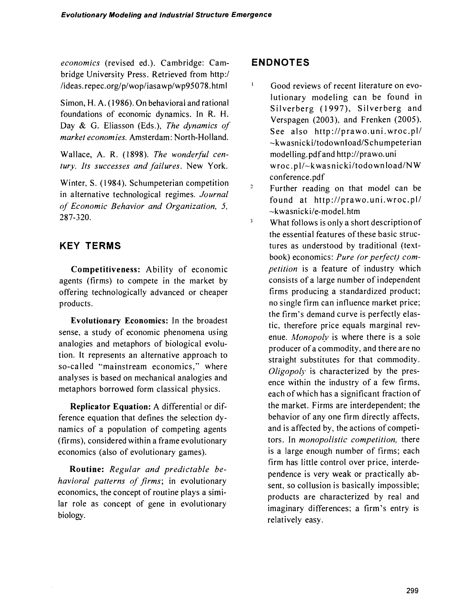*economics* (revised ed.). Cambridge: Cambridge University Press. Retrieved from http:/ **/ideas.repec.org/p/wop/iasawp/wp95078.** html

Simon, H. A. (1986). On behavioral and rational foundations of economic dynamics. In R. H. Day & *G.* Eliasson (Eds.), *The dynamics of*  market economies. Amsterdam: North-Holland.

Wallace, A. R. (1898). *The wonderful cen*tury. Its successes and failures. New York.

Winter, S. (1984). Schumpeterian competition in alternative technological regimes. *Journal of Economic Behavior and Organization, 3,*  287-320.

#### **KEY TERMS**

Competitiveness: Ability of economic agents (firms) to compete in the market by offering technologically advanced or cheaper products.

Evolutionary Economics: In the broadest sense, a study of economic phenomena using analogies and metaphors of biological evolution. It represents an alternative approach to so-called "mainstream economics," where analyses is based on mechanical analogies and metaphors borrowed form classical physics.

Replicator Equation: A differential or difference equation that defines the selection dynamics of a population of competing agents (firms), considered within a frame evolutionary economics (also of evolutionary games).

Routine: *Regular and predictable behavioral patterns of firms;* in evolutionary economics, the concept of routine plays a similar role as concept of gene in evolutionary biology.

#### **ENDNOTES**

 $\overline{\mathbf{3}}$ 

- ' Good reviews of recent literature on evolutionary modeling can be found in Silverberg (1997), Silverberg and Verspagen (2003). and Frenken (2005). See also http://prawo.uni.wroc.pl/ **-kwasnicki/todownload/Schumpeterian**  modelling.pdf and http://prawo.uni **wroc.pl/-kwasnicki/todownload/NW**  conference.pdf
- $\overline{2}$ Further reading on that model can be found at http://prawo.uni.wroc.pl/ -kwasnicki/e-model. htm
	- What follows is only a short descriptionof the essential features of these basic structures as understood by traditional (textbook) economics: *Pure for perfect) competition* is a feature of industry which consists of a large number of independent firms producing a standardized product; no single firm can influence market price; the firm's demand curve is perfectly elastic, therefore price equals marginal revenue. *Monopoly* is where there is a sole producer of a commodity, and there are no straight substitutes for that commodity. *Oligopoly* is characterized by the presence within the industry of a few firms, each of which has a significant fraction of the market. Firms are interdependent; the behavior of any one firm directly affects, and is affected by, the actions of competitors. In *monopolistic competition,* there is a large enough number of firms; each firm has little control over price, interdependence is very weak or practically absent, so collusion is basically impossible; products are characterized by real and imaginary differences; a firm's entry is relatively easy.